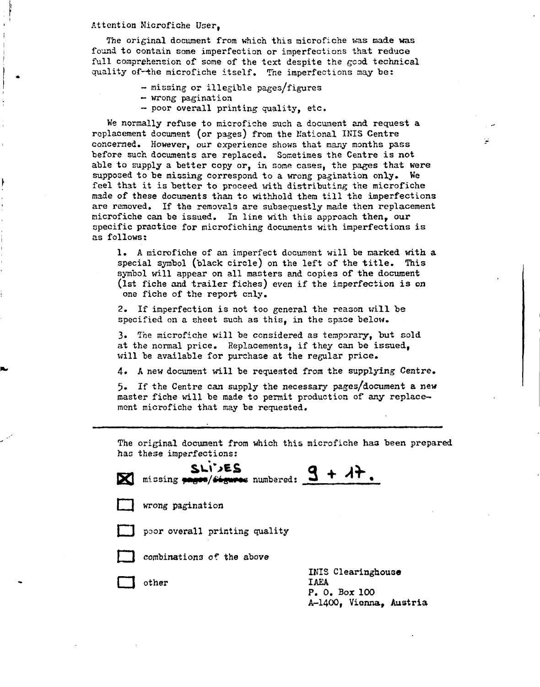#### Attention Microfiche User,

The original document from which this microfiche was made was found to contain some imperfection or imperfections that reduce full comprehension of some of the text despite the good technical quality of-the microfiche itself. The imperfections may be:

- missing or illegible pages/figures
- wrong pagination
- poor overall printing quality, etc.

We normally refuse to microfiche such a document and request a replacement document (or pages) from the National INIS Centre concerned. However, our experience shows that many months pass before such documents are replaced. Sometimes the Centre is not able to supply a better copy or, in some cases, the pages that were supposed to be missing correspond to a wrong pagination only. We feel that it is better to proceed with distributing the microfiche made of these documents than to withhold them till the imperfections are removed. If the removals are subsequestly made then replacement microfiche can be issued. In line with this approach then, our specific practice for microfiching documents with imperfections is as follows:

1. A microfiche of an imperfect document will be marked with a special symbol (black circle) on the left of the title. This symbol will appear on all masters and copies of the document (1st fiche and trailer fiches) even if the imperfection is on one fiche of the report only.

2. If imperfection is not too general the reason will be specified on a sheet such as this, in the space below.

3. The microfiche will be considered as temporary, but sold at the normal price. Replacements, if they can be issued, will be available for purchase at the regular price.

4» A new document will be requested from the supplying Centre.

5. If the Centre can supply the necessary pages/document a new master fiche will be made to permit production of any replacement microfiche that may be requested.

The original document from which this microfiche has been prepared has these imperfections:

| SLIVES<br>$\mathbb{Z}$ missing pages/ $\frac{1}{2}$ missing pages/ $\frac{1}{2}$ missing pages/ $\frac{1}{2}$ missing pages/ $\frac{1}{2}$ missing pages/ $\frac{1}{2}$ missing pages/ $\frac{1}{2}$ missing pages/ $\frac{1}{2}$ missing pages/ $\frac{1}{2}$ missing pages/ $\frac{1}{$ |  |  |
|-------------------------------------------------------------------------------------------------------------------------------------------------------------------------------------------------------------------------------------------------------------------------------------------|--|--|
| wrong pagination                                                                                                                                                                                                                                                                          |  |  |
| poor overall printing quality                                                                                                                                                                                                                                                             |  |  |

I i poor overall printing quality and the control of the control of the control of the control of the control of the control of the control of the control of the control of the control of the control of the control of the combinations of the above

I is the above the above the above the above the above the above the above the above the above the above the above the above the above the above the above the above the above the above the above the above the above the abo

other

INIS Clearinghouse IAEA<br>P. O. Box 100  $\mathcal{V}_0$  ,  $\mathcal{V}_1$ A-1400, Vienna, Austria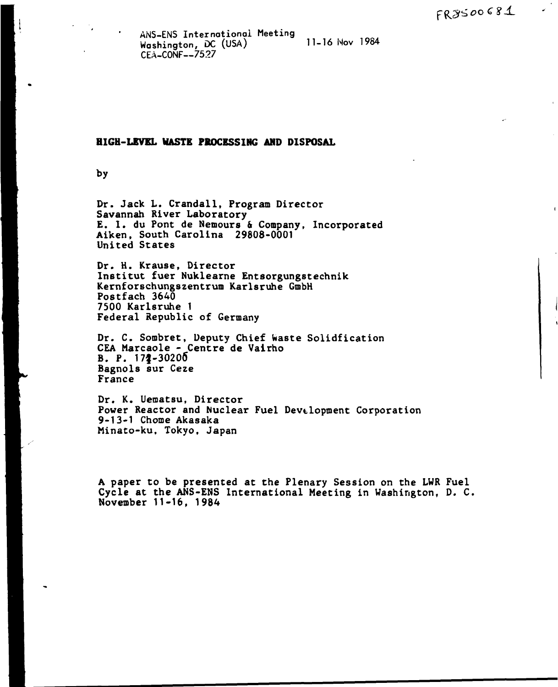ANS-ENS International Meeting Washington, DC (USA) 11-10 Nov 1704<br>05:100NE 7507 CEA-CONF--7527

## **HIGH-LEVEL HASTE PROCESSING AMD DISPOSAL**

by

Dr. Jack L. Crandall, Program Director Savannah River Laboratory E. 1. du Pont de Nemours & Company, Incorporated Aiken, South Carolina 29808-0001 United States

Dr. H. Krause, Director Institut fuer Nuklearne Entsorgungstechnik Kernforschungszentrum Karlsruhe GmbH Postfach 3640 7500 Karlsruhe 1 Federal Republic of Germany

Dr. C. Sombret, Deputy Chief Waste Solidfication CEA Marcaole - Centre de Valrho  $B. P. 172 - 30200$ Bagnols sur Ceze France

Dr. K. Uematsu, Director Power Reactor and Nuclear Fuel Development Corporation 9-13-1 Chôme Akasaka Minato-ku, Tokyo, Japan

A paper to be presented at the Plenary Session on the LWR Fuel Cycle at the ANS-ENS International Meeting in Washington, D. C, November 11-16, 1984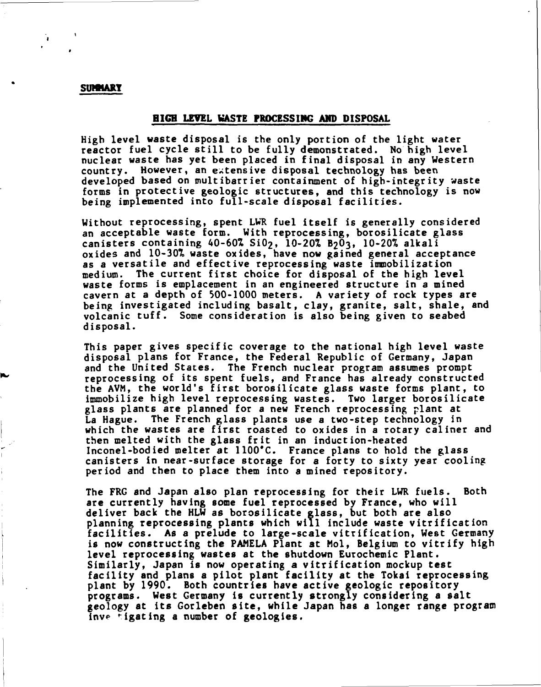## **SUMMARY**

## **HIGH LEVEL WASTE PROCESSING AMD DISPOSAL**

High level waste disposal is the only portion of the light water reactor fuel cycle still to be fully demonstrated. No high level nuclear waste has yet been placed in final disposal in any Western country. However, an extensive disposal technology has been developed based on multibarrier containment of high-integrity waste forms in protective geologic structures, and this technology is now being implemented into full-scale disposal facilities.

Without reprocessing, spent LWR fuel itself is generally considered an acceptable waste form. With reprocessing, borosilicate glass canisters containing  $40-60\%$  Si $0_2$ , 10-20% B<sub>2</sub>0<sub>3</sub>, 10-20% alkali oxides and 10-30% waste oxides, have now gained general acceptance as a versatile and effective reprocessing waste immobilization medium. The current first choice for disposal of the high level waste forms is emplacement in an engineered structure in a mined cavern at a depth of 500-1000 meters. A variety of rock types are being investigated including basalt, clay, granite, salt, shale, and volcanic tuff. Some consideration is also being given to seabed disposal.

This paper gives specific coverage to the national high level waste disposal plans for France, the Federal Republic of Germany, Japan and the United States. The French nuclear program assumes prompt reprocessing of its spent fuels, and France has already constructed the AVM, the world's first borosilicate glass waste forms plant, to immobilize high level reprocessing wastes. Two larger borosilicate glass plants are planned for a new French reprocessing plant at La Hague. The French glass plants use a two-step technology in which the wastes are first roasted to oxides in a rotary câliner and then melted with the glass frit in an induction-heated Inconel-bodied melter at 1100'C. France plans to hold the glass canisters in near-surface storage for a forty to sixty year cooling period and then to place them into a mined repository.

The FRG and Japan also plan reprocessing for their LWR fuels. Both are currently having some fuel reprocessed by France, who will deliver back the HLW as borosilicate glass, but both are also planning reprocessing plants which will include waste vitrification facilities. As a prelude to large-scale vitrification, West Germany is now constructing the PAMELA Plant at Mol, Belgium to vitrify high level reprocessing wastes at the shutdown Eurochemic Plant. Similarly, Japan is now operating a vitrification mockup test facility and plans a pilot plant facility at the Tokai reprocessing plant by 1990. Both countries have active geologic repository programs. West Germany is currently strongly considering a salt geology at its Gorleben site, while Japan has a longer range program inve tigating a number of geologies.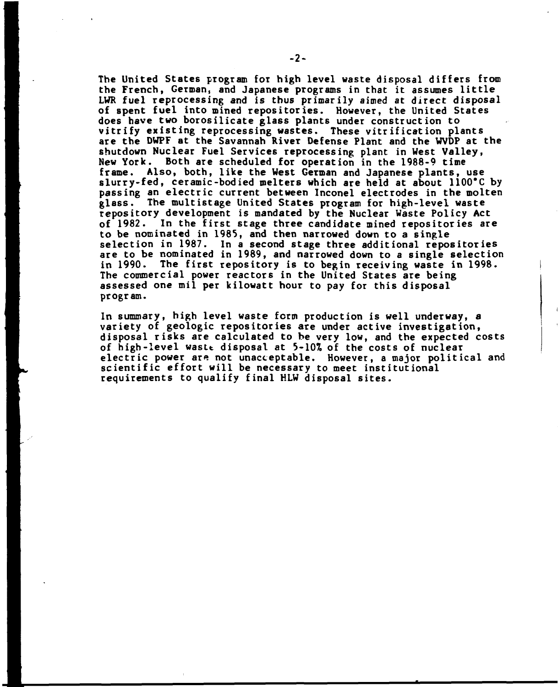**The United States program for high level waste disposal differs from the French, German, and Japanese programs in that it assumes little LWR fuel reprocessing and is thus primarily aimed at direct disposal of spent fuel into mined repositories. However, the United States does have two borosilicate glass plants under construction to vitrify existing reprocessing wastes. These vitrification plants are the DWPF at the Savannah River Defense Plant and the WVDP at the shutdown Nuclear Fuel Services reprocessing plant in West Valley, New York. Both are scheduled for operation in the 1988-9 time frame. Also, both, like the West German and Japanese plants, use slurry-fed, ceramic-bodied melters which are held at about 1100'C by passing an electric current between Inconel electrodes in the molten glass. The multistage United States program for high-level waste repository development is mandated by the Nuclear Waste Policy Act of 1982. In the first stage three candidate mined repositories are to be nominated in 1985, and then narrowed down to a single selection in 1987. In a second stage three additional repositories are to be nominated in 1989, and narrowed down to a single selection in 1990. The first repository is to begin receiving waste in 1998. The commercial power reactors in the United States are being assessed one mil per kilowatt hour to pay for this disposal program.** 

**In summary, high level waste fcrm production is well underway, a variety of geologic repositories are under active investigation, disposal risks are calculated to be very low, and the expected costs of high-level wastt disposal at 5-10% of the costs of nuclear electric power are not unacceptable. However, a major political and scientific effort will be necessary to meet institutional requirements to qualify final HLW disposal sites.**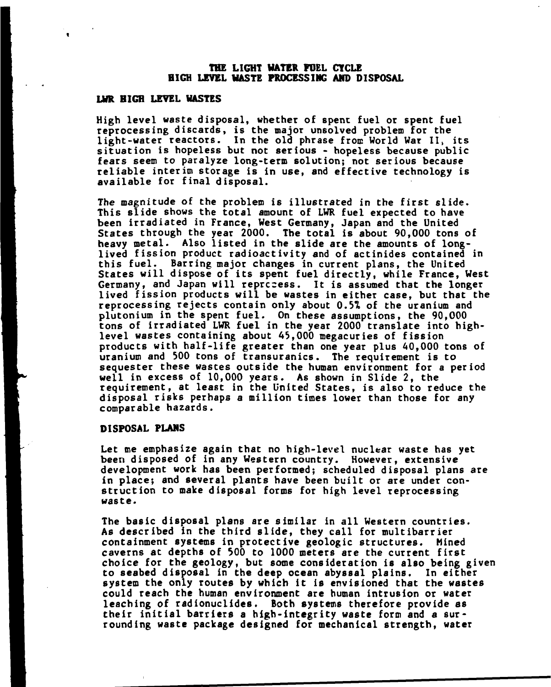## **THE LIGHT HATER FOEL CYCLE HIGH LEVEL HASTE PROCESSING AMD DISPOSAL**

## **LWR HIGH LEVEL HASTES**

High level waste disposal, whether of spent fuel or spent fuel reprocessing discards, is the major unsolved problem for the light-water reactors. In the old phrase from World War II, its situation is hopeless but not serious - hopeless because public fears seem to paralyze long-term solution; not serious because reliable interim storage is in use, and effective technology is available for final disposal.

The magnitude of the problem is illustrated in the first slide. This slide shows the total amount of LWR fuel expected to have been irradiated in France, West Germany, Japan and the United States through the year 2000. The total is about 90,000 tons of heavy metal. Also listed in the slide are the amounts of longlived fission product radioactivity and of actinides contained in this fuel. Barring major changes in current plans, the United States will dispose of its spent fuel directly, while France, West Germany, and Japan will reprocess. It is assumed that the longer lived fission products will be wastes in either case, but that the reprocessing rejects contain only about *0.b%* of the uranium and plutonium in the spent fuel. On these assumptions, the 90,000 tons of irradiated LWR fuel in the year 2000 translate into highlevel wastes containing about 43,000 megacuries of fission products with half-life greater than one year plus 40,000 tons of uranium and 500 tons of transuranics. The requirement is to sequester these wastes outside the human environment for a period well in excess of 10,000 years. As shown in Slide 2, the requirement, at least in the United States, is also to reduce the disposal risks perhaps a million times lower than those for any comparable hazards.

## **DISPOSAL FLAMS**

Let me emphasize again that no high-level nuclear waste has yet been disposed of in any Western country. However, extensive development work has been performed; scheduled disposal plans are in place; and several plants have been built or are under construction to make disposal forms for high level reprocessing waste.

The basic disposal plans are similar in all Western countries. As described in the third slide, they call for multibarrier containment systems in protective geologic structures. Mined caverns at depths of 500 to 1000 meters are the current first choice for the geology, but some consideration is also being given to seabed disposal in the deep ocean abyssal plains. In either system the only routes by which it is envisioned that the wastes could reach the human environment are human intrusion or water leaching of radionuclides. Both systems therefore provide as their initial barriers a high-integrity waste form and a surrounding waste package designed for mechanical strength, water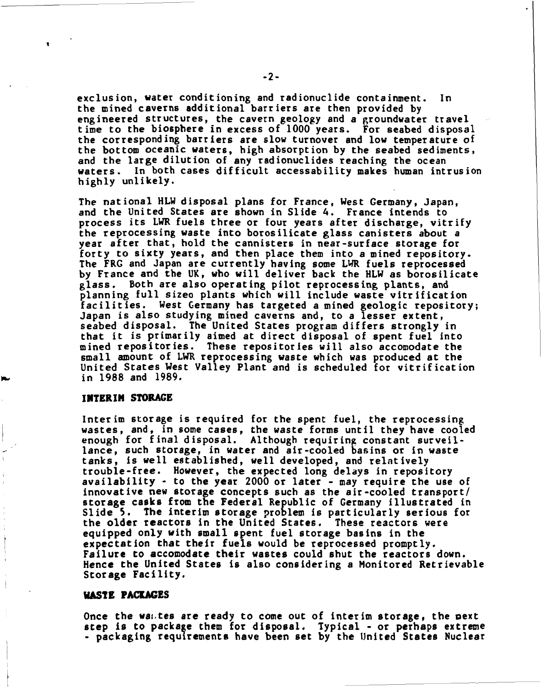exclusion, water conditioning and radionuclide containment. In the mined caverns additional barriers are then provided by engineered structures, the cavern geology and a groundwater travel time to the biosphere in excess of 1000 years. For seabed disposal the corresponding barriers are slow turnover and low temperature of the bottom oceanic waters, high absorption by the seabed sediments, and the large dilution of any radionuclides reaching the ocean waters. In both cases difficult accessability makes human intrusion highly unlikely.

The national HLW disposal plans for France, West Germany, Japan, and the United States are shown in Slide 4. France intends to process its LWR fuels three or four years after discharge, vitrify the reprocessing waste into borosilicate glass canisters about a year after that, hold the cannisters in near-surface storage for forty to sixty years, and then place them into a mined repository. The FRG and Japan are currently having some LWR fuels reprocessed by France and the UK, who will deliver back the HLW as borosilicate glass. Both are also operating pilot reprocessing plants, and planning full sizeo plants which will include waste vitrification facilities. West Germany has targeted a mined geologic repository; Japan is also studying mined caverns and, to a lesser extent, seabed disposal. The United States program differs strongly in that it is primarily aimed at direct disposal of spent fuel into mined repositories. These repositories will also accomodate the small amount of LWR reprocessing waste which was produced at the United States West Valley Plant and is scheduled for vitrification in 1988 and 1989.

## **INTERIM STORAGE**

Interim storage is required for the spent fuel, the reprocessing wastes, and, in some cases, the waste forms until they have cooled enough for final disposal. Although requiring constant surveillance, such storage, in water and air-cooled basins or in waste tanks, is well established, well developed, and relatively trouble-free. However, the expected long delays in repository availability - to the year 2000 or later - may require the use of innovative new storage concepts such as the air-cooled transport/ storage casks from the Federal Republic of Germany illustrated in Slide 5. The interim storage problem is particularly serious for the older reactors in the United States. These reactors were equipped only with small spent fuel storage basins in the expectation that their fuels would be reprocessed promptly. Failure to accomodate their wastes could shut the reactors down. Hence the United States is also considering a Monitored Retrievable Storage Facility.

## **HASTE PACKAGES**

Once the was tes are ready to come out of interim storage, the pext step is to package them for disposal. Typical - or perhaps extreme - packaging requirements have been set by the United States Nuclear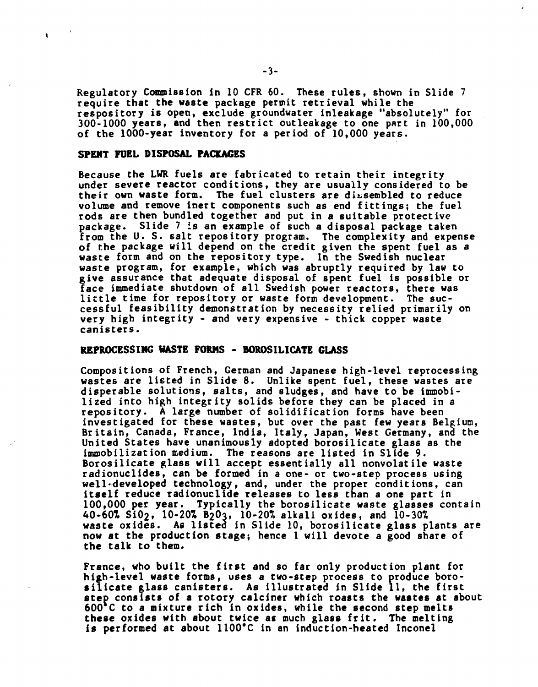Regulatory Commission in 10 CFR 60. These rules, shown in Slide 7 require that the waste package permit retrieval while the respository is open, exclude groundwater inleakage "absolutely" for 300-1000 years, and then restrict outleakage to one part in 100,000 of the 1000-year inventory for a period of 10,000 years.

## **SPENT FUEL DISPOSAL PACKAGES**

 $\mathbf{r}$ 

Because the LWR fuels are fabricated to retain their integrity under severe reactor conditions, they are usually considered to be their own waste form. The fuel clusters are dissembled to reduce volume and remove inert components such as end fittings; the fuel rods are then bundled together and put in a suitable protective package. Slide 7 is an example of such a disposal package taken from the U. S. salt repository program. The complexity and expense of the package will depend on the credit given the spent fuel as a waste form and on the repository type. In the Swedish nuclear waste program, for example, which was abruptly required by law to give assurance that adequate disposal of spent fuel is possible or face immediate shutdown of all Swedish power reactors, there was little time for repository or waste form development. The successful feasibility demonstration by necessity relied primarily on very high integrity - and very expensive - thick copper waste canisters.

# **REPROCESSING VASTE FORMS - BOROSILICATE GLASS**

Compositions of French, German and Japanese high-level reprocessing wastes are listed in Slide 8. Unlike spent fuel, these wastes are disperable solutions, salts, and sludges, and have to be immobilized into high integrity solids before they can be placed in a repository. A large number of solidification forms have been investigated for these wastes, but over the past few years Belgium, Britain, Canada, France, India, Italy, Japan, West Germany, and the United States have unanimously adopted borosilicate glass as the immobilization medium. The reasons are listed in Slide 9. Borosilicate glass will accept essentially all nonvolatile waste radionuclides, can be formed in a one- or two-step process using well-developed technology, and, under the proper conditions, can itself reduce radionuclide releases to less than a one part in 100,000 per year. Typically the borosilicate waste glasses contain 40-60% Si02, 10-20% B2O3, 10-20% alkali oxides, and 10-30% waste oxides. As listed in Slide 10, borosilicate glass plants are **now** at the production stage; hence I will devote a good share of the talk to them.

France, who built the first and so far only production plant for high-level waste forms, uses a two-step process to produce borosilicate glass canisters. As illustrated in Slide 11, the first **step** consists of a rotory calciner which roasts the wastes at about 600 C to a mixture rich in oxides, while the second step melts **these** oxides with about twice ae much glass frit. The melting is performed at about 1100\*C in an induction-heated Inconel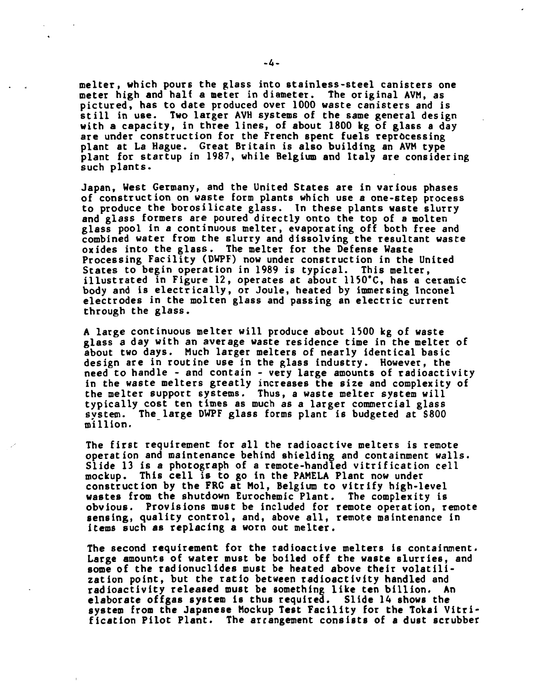**melter, which pours the glass into stainless-steel canisters one meter high and half a meter in diameter. The original AVM, as pictured, has to date produced over 1000 waste canisters and is still in use. Two larger AVH systems of the same general design with a capacity, in three lines, of about 1800 kg of glass a day are under construction for the French spent fuels reprocessing plant at La Hague. Great Britain is also building an AVM type plant for startup in 1987, while Belgium and Italy are considering such plants.** 

**Japan, West Germany, and the United States are in various phases of construction on waste form plants which use a one-step process to produce the borosilicate glass. In these plants waste slurry and glass formers are poured directly onto the top of a molten glass pool in a continuous melter, evaporating off both free and combined water from the slurry and dissolving the resultant waste oxides into the glass. The melter for the Defense Waste Processing Facility (DWPF) now under construction in the United States to begin operation in 1989 is typical. This melter, illustrated in Figure 12, operates at about 1150\*C, has a ceramic**  body and is electrically, or Joule, heated by immersing Inconel **electrodes in the molten glass and passing an electric current through the glass.** 

**A large continuous melter will produce about 1500 kg of waste glass a day with an average waste residence time in the melter of about two days. Much larger melters of nearly identical basic design are in routine use in the glass industry. However, the need to handle - and contain - very large amounts of radioactivity in the waste melters greatly increases the size and complexity of the melter support systems. Thus, a waste melter system will typically cost ten times as much as a larger commercial glass system. The large DWPF glass forms plant is budgeted at S800 million.** 

**The first requirement for all the radioactive melters is remote operation and maintenance behind shielding and containment walls. Slide 13 is a photograph of a remote-handled vitrification cell mockup. This cell is to go in the PAMELA Plant now under construction by the FRG at Mol, Belgium to vitrify high-level wastes from the shutdown Eurochemic Plant. The complexity is obvious. Provisions must be included for remote operation, remote sensing, quality control, and, above all, remote maintenance in items such as replacing a worn out melter.** 

**The second requirement for the radioactive melters is containment. Large amounts of water must be boiled off the waste slurries, and some of the radionuclides must be heated above their volatilization point, but the ratio between radioactivity handled and radioactivity released must be something like ten billion. An elaborate offgas system is thus required. Slide 14 shows the system from the Japanese Mockup Test Facility for the Tokai Vitrification Pilot Plant. The arrangement consists of a dust scrubber**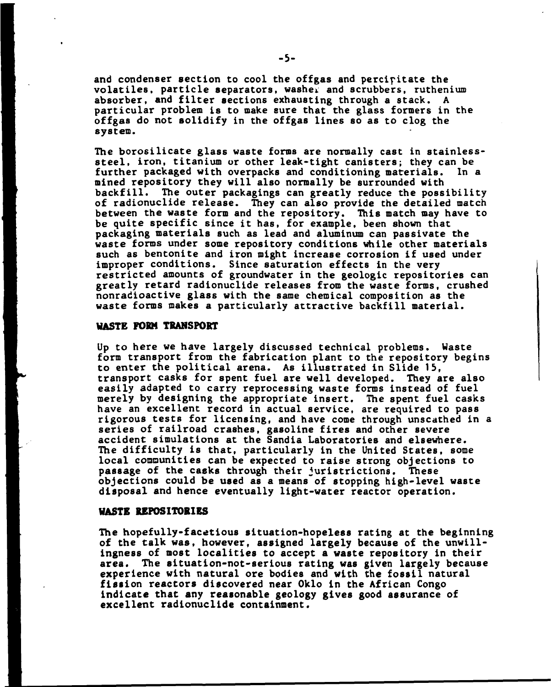and condenser section to cool the offgas and percipitate the volatiles, particle separators, washer and scrubbers, ruthenium absorber, and filter sections exhausting through a stack. A particular problem is to make sure that the glass formers in the offgas do not solidify in the offgas lines so as to clog the system.

The borosilicate glass waste forms are normally cast in stainlesssteel, iron, titanium or other leak-tight canisters; they can be further packaged with overpacks and conditioning materials. In a mined repository they will also normally be surrounded with backfill. The outer packagings can greatly reduce the possibility of radionuclide release. They can also provide the detailed match between the waste form and the repository. This match may have to be quite specific since it has, for example, been shown that packaging materials such as lead and aluminum can passivate the waste forms under some repository conditions while other materials such as bentonite and iron might increase corrosion if used under improper conditions. Since saturation effects in the very restricted amounts of groundwater in the geologic repositories can greatly retard radionuclide releases from the waste forms, crushed nonradioactive glass with the same chemical composition as the waste forms makes a particularly attractive backfill material.

## **WASTE FORM TRANSPORT**

Up to here we have largely discussed technical problems. Waste form transport from the fabrication plant to the repository begins to enter the political arena. As illustrated in Slide 15, transport casks for spent fuel are well developed. They are also easily adapted to carry reprocessing waste forms instead of fuel merely by designing the appropriate insert. The spent fuel casks have an excellent record in actual service, are required to pass rigorous tests for licensing, and have come through unscathed in a series of railroad crashes, gasoline fires and other severe accident simulations at the Sandia Laboratories and elsewhere. The difficulty is that, particularly in the United States, some local communities can be expected to raise strong objections to passage of the casks through their juristrictions. These objections could be used as a means of stopping high-level waste disposal and hence eventually light-water reactor operation.

## **WASTE REPOSITORIES**

The hopefully-facetious situation-hopeless rating at the beginning of the talk was, however, assigned largely because of the unwillingness of most localities to accept a waste repository in their area. The situation-not-serious rating was given largely because experience with natural ore bodies and with the fossil natural fission reactors discovered near Oklo in the African Congo indicate that any reasonable geology gives good assurance of excellent radionuclide containment.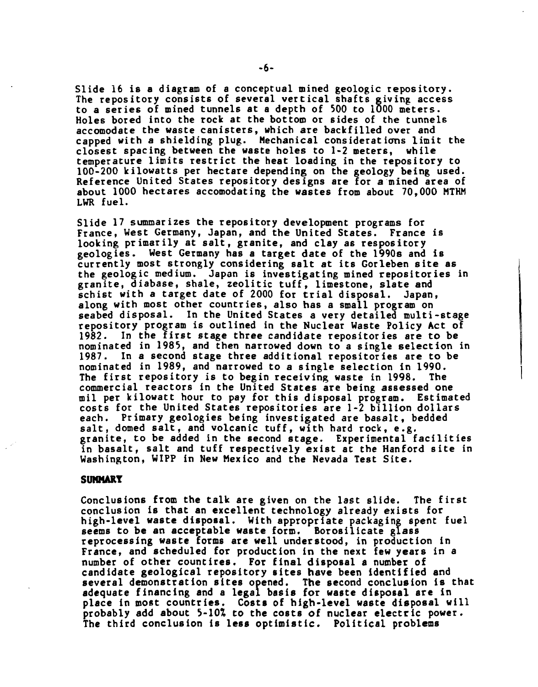Slide 16 is a diagram of a conceptual mined geologic repository. The repository consists of several vertical shafts giving access to a series of mined tunnels at a depth of 500 to 1000 meters. Holes bored into the rock at the bottom or sides of the tunnels accomodate the waste canisters, which are backfilled over and capped with a shielding plug. Mechanical considerations limit the closest spacing between the waste holes to 1-2 meters, while temperature limits restrict the heat loading in the repository to 100-200 kilowatts per hectare depending on the geology being used. Reference United States repository designs are for a mined area of about 1000 hectares accomodating the wastes from about 70,000 MTHM LWR fuel.

Slide 17 summarizes the repository development programs for France, West Germany, Japan, and the United States. France is looking primarily at salt, granite, and clay as respository geologies. West Germany has a target date of the 1990s and is currently most strongly considering salt at its Gorleben site as the geologic medium. Japan is investigating mined repositories in granite, diabase, shale, zeolitic tuff, limestone, slate and schist with a target date of 2000 for trial disposal. Japan, along with most other countries, also has a small program on seabed disposal. In the United States a very detailed multi-stage repository program is outlined in the Nuclear Waste Policy Act of 1982. In the first stage three candidate repositories are to be nominated in 1985, and then narrowed down to a single selection in 1987. In a second stage three additional repositories are to be nominated in 1989, and narrowed to a single selection in 1990. The first repository is to begin receiving waste in 1998. The commercial reactors in the United States are being assessed one mil per kilowatt hour to pay for this disposal program. Estimated costs for the United States repositories are 1-2 billion dollars each. Primary geologies being investigated are basalt, bedded salt, domed salt, and volcanic tuff, with hard rock, e.g. granite, to be added in the second stage. Experimental facilities in basalt, salt and tuff respectively exist at the Hanford site in Washington, WIPP in New Mexico and the Nevada Test Site.

## **SUMMARY**

Conclusions from the talk are given on the last slide. The first conclusion is that an excellent technology already exists for high-level waste disposal. With appropriate packaging spent fuel seems to be an acceptable waste form. Borosilicate glass reprocessing waste forms are well understood, in production in France, and scheduled for production in the next few years in a number of other count ires. For final disposal a number of candidate geological repository sites have been identified and several demonstration sites opened. The second conclusion is that adequate financing and a legal basis for waste disposal are in place in most countries. Costs of high-level waste disposal will probably add about 5-10% to the costs of nuclear electric power. The third conclusion is less optimistic. Political problems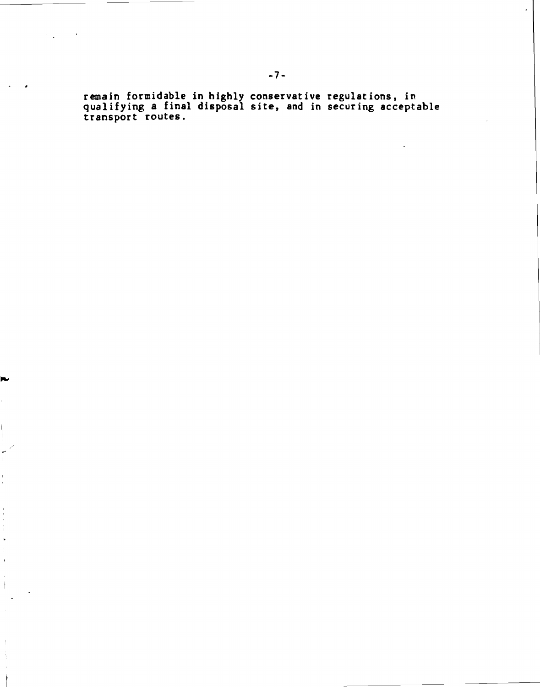**remain formidable in highly conservative regulations, in qualifying a final disposal site, and in securing acceptable transport routes.** 

Į.

 $\frac{1}{4}$  $\ddot{\phantom{a}}$ 

 $\overline{1}$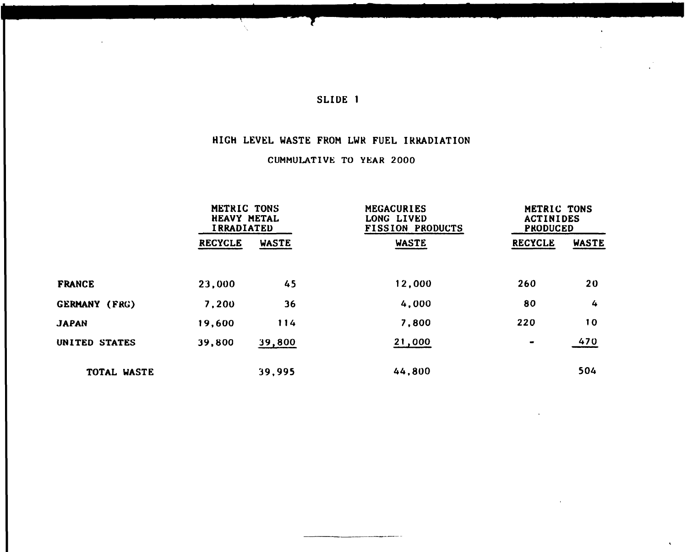Ţ

# **HIGH LEVEL WASTE FROM LWR FUEL IRRADIATION**

# **CUMMULATIVE TO YEAR 2000**

|                      | METRIC TONS<br><b>HEAVY METAL</b><br><b>IRRADIATED</b> |              | MEGACURIES<br>LONG LIVED<br><b>FISSION PRODUCTS</b> | METRIC TONS<br><b>ACTINIDES</b><br><b>PRODUCED</b> |       |
|----------------------|--------------------------------------------------------|--------------|-----------------------------------------------------|----------------------------------------------------|-------|
|                      | <b>RECYCLE</b>                                         | <b>WASTE</b> | <b>WASTE</b>                                        | <b>RECYCLE</b>                                     | WASTE |
| <b>FRANCE</b>        | 23,000                                                 | 45           | 12,000                                              | 260                                                | 20    |
| <b>GERMANY (FRG)</b> | 7,200                                                  | 36           | 4,000                                               | 80                                                 | 4     |
| <b>JAPAN</b>         | 19,600                                                 | 114          | 7,800                                               | 220                                                | 10    |
| UNITED STATES        | 39,800                                                 | 39,800       | 21,000                                              | $\blacksquare$                                     | 470   |
| TOTAL WASTE          |                                                        | 39,995       | 44,800                                              |                                                    | 504   |

 $\hat{\mathbf{r}}$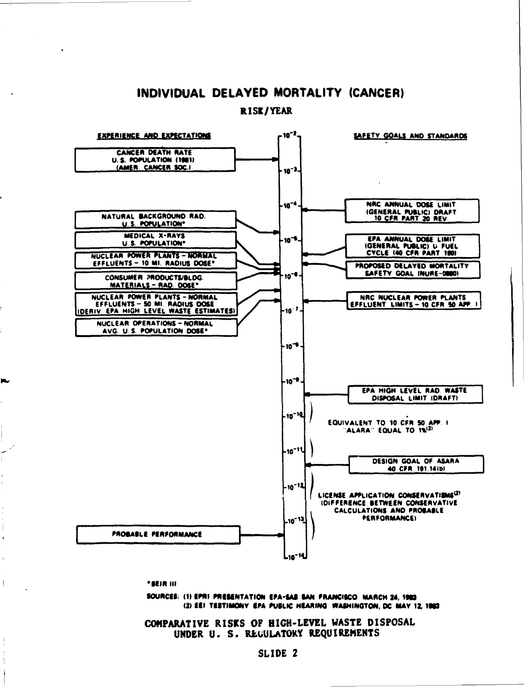# INDIVIDUAL DELAYED MORTALITY (CANCER)

**RISK/YEAR** 



\* BEIR III

þ.

 $\overline{\phantom{a}}$ 

SOURCES: (1) EPRI PRESENTATION EPA-SAB SAN FRANCISCO MARCH 24, 1983 (2) EEI TESTIMONY EPA PUBLIC HEARING WASHINGTON, DC MAY 12, 1983

COMPARATIVE RISKS OF HIGH-LEVEL WASTE DISPOSAL UNDER U. S. REGULATOKY REQUIREMENTS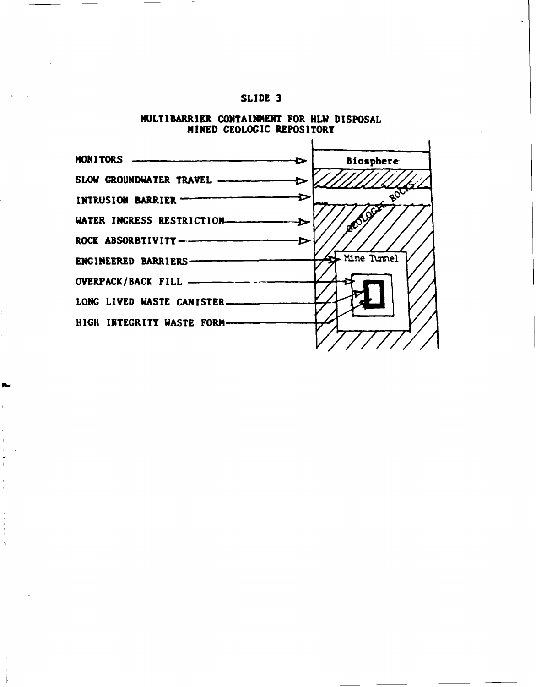$\mathcal{L}^{\mathcal{L}}(\mathcal{L}^{\mathcal{L}}(\mathcal{L}^{\mathcal{L}}(\mathcal{L}^{\mathcal{L}}(\mathcal{L}^{\mathcal{L}}(\mathcal{L}^{\mathcal{L}}(\mathcal{L}^{\mathcal{L}}(\mathcal{L}^{\mathcal{L}}(\mathcal{L}^{\mathcal{L}}(\mathcal{L}^{\mathcal{L}}(\mathcal{L}^{\mathcal{L}}(\mathcal{L}^{\mathcal{L}}(\mathcal{L}^{\mathcal{L}}(\mathcal{L}^{\mathcal{L}}(\mathcal{L}^{\mathcal{L}}(\mathcal{L}^{\mathcal{L}}(\mathcal{L}^{\mathcal{L$ 

ĸ



**HULTIBARRIER CONTAINMENT FOR HLW DISPOSAL MINED GEOLOGIC REPOSITORY**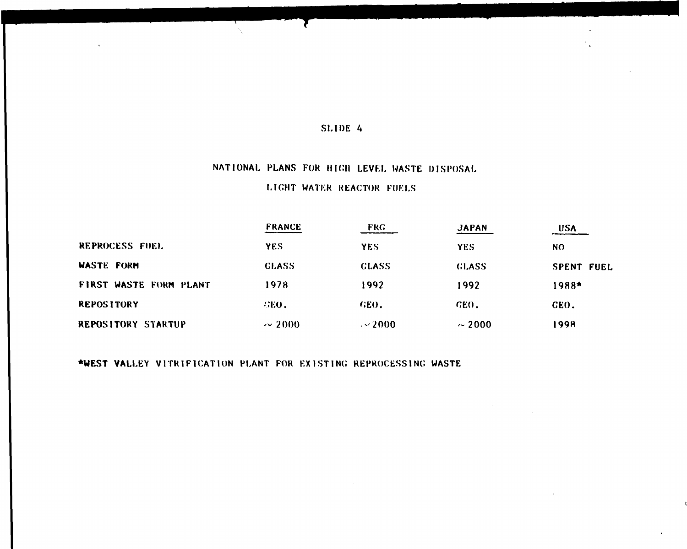# NATIONAL PLANS FOR HIGH LEVEL WASTE DISPOSAL

# LIGHT WATER REACTOR FUELS

|                           | <b>FRANCE</b> | <b>FRG</b>   | <b>JAPAN</b> | <b>USA</b>        |
|---------------------------|---------------|--------------|--------------|-------------------|
| REPROCESS FUEL            | <b>YES</b>    | <b>YES</b>   | <b>YES</b>   | <b>NO</b>         |
| WASTE FORM                | <b>GLASS</b>  | <b>GLASS</b> | <b>GLASS</b> | <b>SPENT FUEL</b> |
| FIRST WASTE FORM PLANT    | 1978          | 1992         | 1992         | 1988*             |
| <b>REPOSITORY</b>         | <b>WEO.</b>   | GEO.         | GEO.         | GEO.              |
| <b>REPOSITORY STARTUP</b> | $\sim$ 2000   | $\sim$ 2000  | $\sim 2000$  | 1998              |

**•WEST** VALLEY VITRIFICATION PLANT FOR EXIST INC REPROCESSING WASTE

 $\epsilon$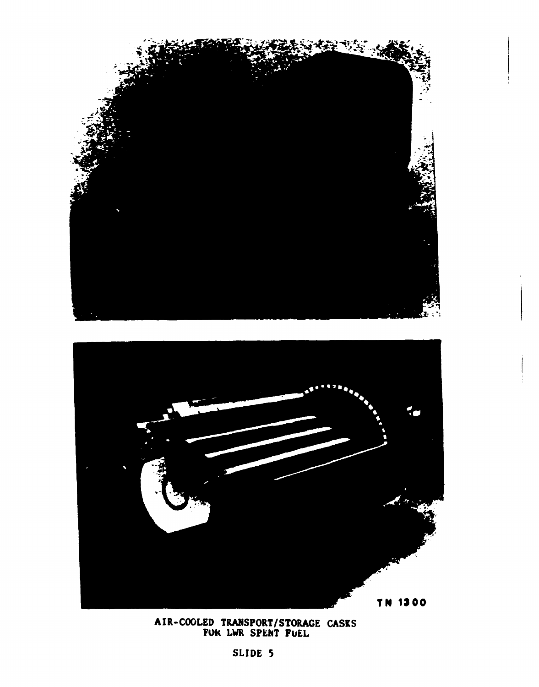



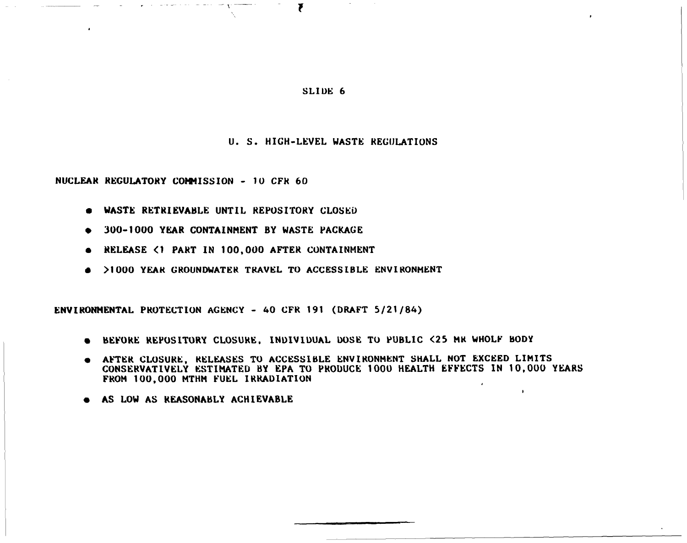7

## **U. S. HIGH-LEVEL WASTE REGULATIONS**

**NUCLEAR REGULATORY COMMISSION - 10 CFK 60** 

- **WASTE RETRIEVABLE UNTIL REPOSITORY CLOSED**
- **» 300-1000 YEAR CONTAINMENT BY WASTE PACKAGE**
- **RELEASE <1 PART IN 100,000 AFTER CONTAINMENT**
- **>1000 YEAR GROUNDWATER TRAVEL TO ACCESSIBLE ENVIRONMENT**

**ENVIRONMENTAL PROTECTION AGENCY - 40 CFR 191 (DRAFT 5/21/84)** 

- **BEFORE REPOSITORY CLOSURE, INDIVIDUAL DOSE TO PUBLIC <25 MR WHOLF BODY**
- **AFTER CLOSURE, RELEASES TO ACCESSIBLE ENVIRONMENT SHALL NOT EXCEED LIMITS CONSERVATIVELY ESTIMATED BY EPA TO PRODUCE 1000 HEALTH EFFECTS IN 10,000 YEARS FROM 100,000 MTHM FUEL IRRADIATION**

 $\bullet$ 

**• AS LOW AS REASONABLY ACHIEVABLE**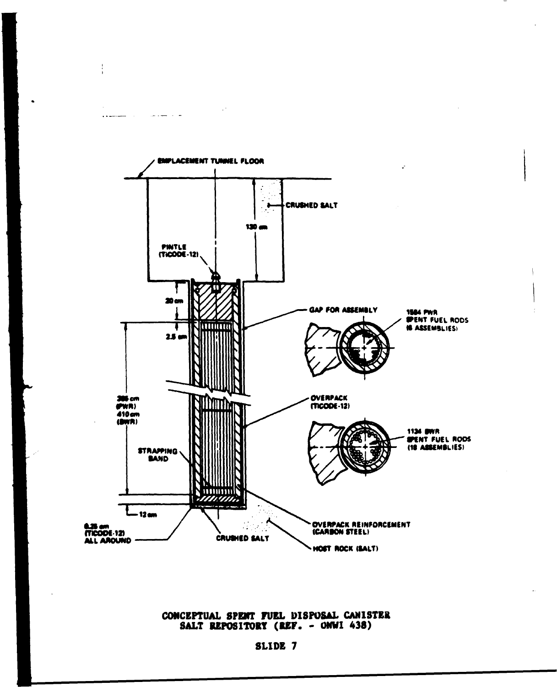

 $\frac{1}{2}$ 

 $\ddotsc$ 

بيت بالبد

## CONCEPTUAL SPENT FUEL DISPOSAL CANISTER SALT REPOSITORY (REF. - ONWI 438)

# SLIDE 7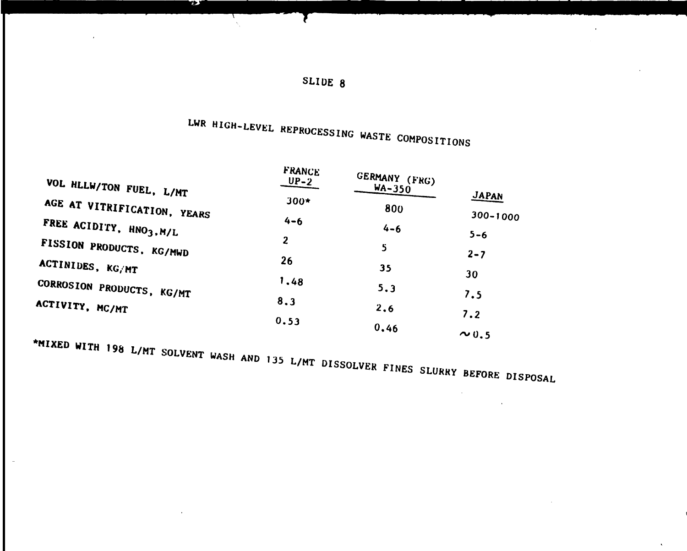| SLIDE |  |  |
|-------|--|--|
|-------|--|--|

T

# LWR HIGH-LEVEL REPROCESSING WASTE COMPOSITIONS

| VOL HLLW/TON FUEL, L/MT                                                               | FRANCE<br>$UP-2$ | GERMANY (FRG)<br><b>WA-350</b> |              |
|---------------------------------------------------------------------------------------|------------------|--------------------------------|--------------|
| AGE AT VITRIFICATION, YEARS                                                           | $300*$           | 800                            | <b>JAPAN</b> |
| FREE ACIDITY, HNO3, M/L                                                               | $4 - 6$          | $4 - 6$                        | $300 - 1000$ |
| FISSION PRODUCTS, KG/MWD                                                              | 2                | 5                              | $5 - 6$      |
| ACTINIDES, KG/MT                                                                      | 26               | 35                             | $2 - 7$      |
| CORROSION PRODUCTS, KG/MT                                                             | 1.48             | 5.3                            | 30           |
| ACTIVITY, MC/MT                                                                       | 8.3              | 2, 6                           | 7.5          |
|                                                                                       | 0.53             | 0.46                           | 7.2          |
|                                                                                       |                  |                                | $\sim$ 0.5   |
| *MIXED WITH 198 L/MT SOLVENT WASH AND 135 L/MT DISSOLVER FINES SLURRY BEFORE DISPOSAL |                  |                                |              |

**لانجا** 

 $\ddot{\phantom{a}}$ 

 $\bar{z}$ 

 $\sim 10^{11}$  km s  $^{-1}$ 

 $\sim 100$ 

 $\ddot{\phantom{a}}$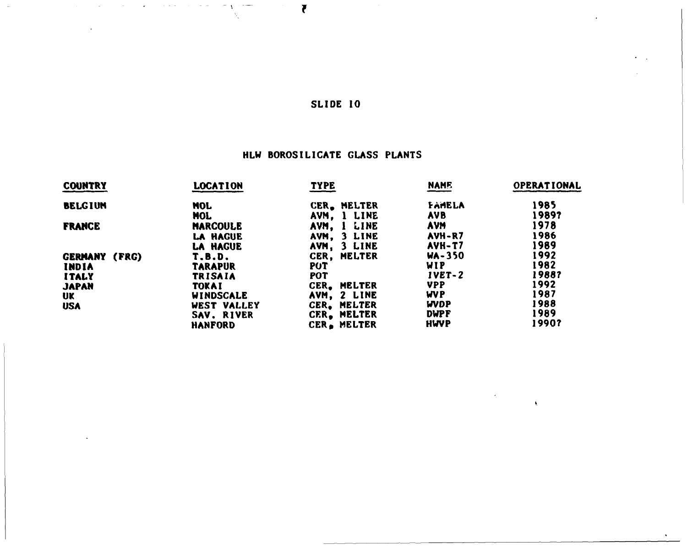$\overline{\mathbf{r}}$ 

# HLW BOROSILICATE GLASS PLANTS

| <b>COUNTRY</b>       | <b>LOCATION</b> | <b>TYPE</b>           | <b>NAME</b>   | OPERATIONAL |
|----------------------|-----------------|-----------------------|---------------|-------------|
| <b>BELGIUM</b>       | <b>MOL</b>      | <b>MELTER</b><br>CER. | <b>FAMELA</b> | 1985        |
|                      | <b>MOL</b>      | 1 LINE<br>AVM.        | <b>AVB</b>    | 1989?       |
| <b>FRANCE</b>        | <b>MARCOULE</b> | LINE<br>AVM.          | <b>AVM</b>    | 1978        |
|                      | <b>LA HAGUE</b> | 3 LINE<br>AVM.        | AVH-R7        | 1986        |
|                      | <b>LA HAGUE</b> | 3 LINE<br>AVM,        | AVH-T7        | 1989        |
| <b>GERMANY (FRG)</b> | T.B.D.          | CER.<br><b>MELTER</b> | $WA - 350$    | 1992        |
| <b>INDIA</b>         | <b>TARAPUR</b>  | <b>PUT</b>            | <b>WIP</b>    | 1982        |
| <b>ITALY</b>         | <b>TRISAIA</b>  | POT                   | $IVET-2$      | 1988?       |
| <b>JAPAN</b>         | <b>TOKAI</b>    | <b>MELTER</b><br>CER. | <b>VPP</b>    | 1992        |
| UK                   | WINDSCALE       | 2 LINE<br>AVM,        | <b>WVP</b>    | 1987        |
| <b>USA</b>           | WEST VALLEY     | <b>MELTER</b><br>CER. | <b>WDP</b>    | 1988        |
|                      | SAV. RIVER      | CER, MELTER           | <b>DWPF</b>   | 1989        |
|                      | <b>HANFORD</b>  | CER. MELTER           | <b>HWVP</b>   | 1990?       |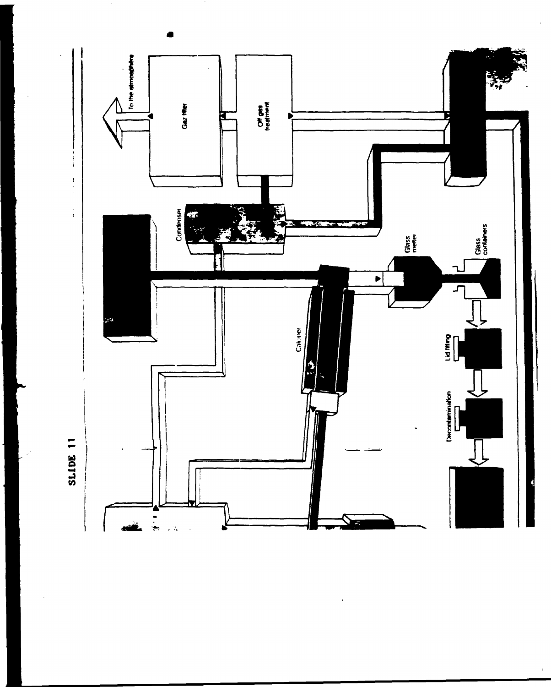

 $\bar{t}$ 

 $\bullet$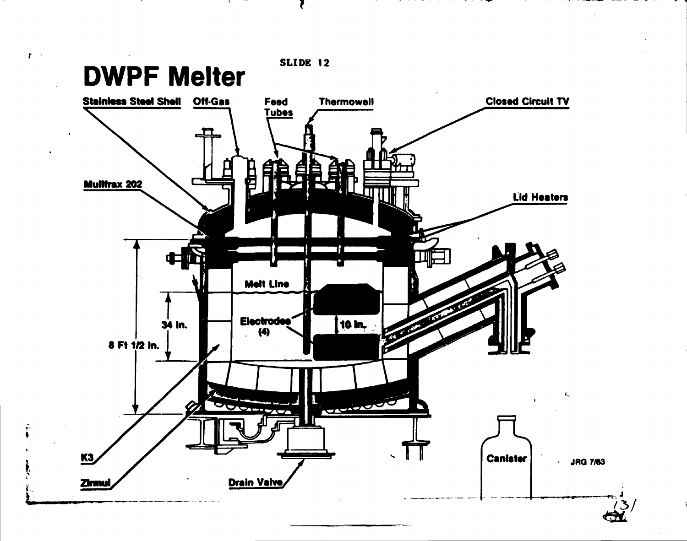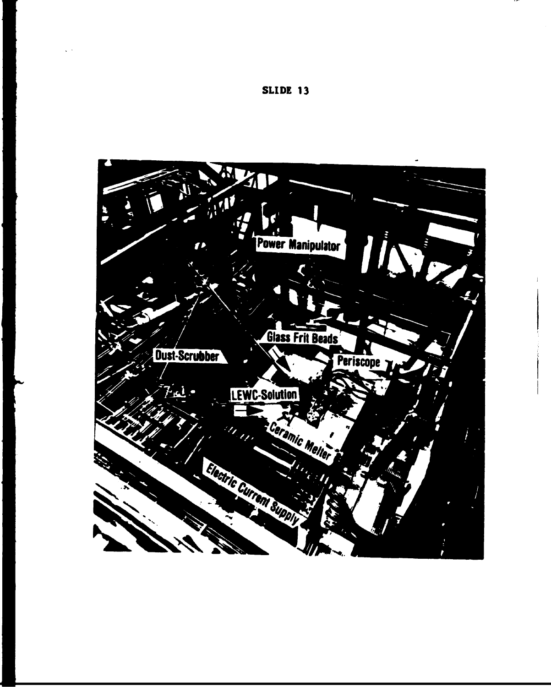

 $\sqrt{2}$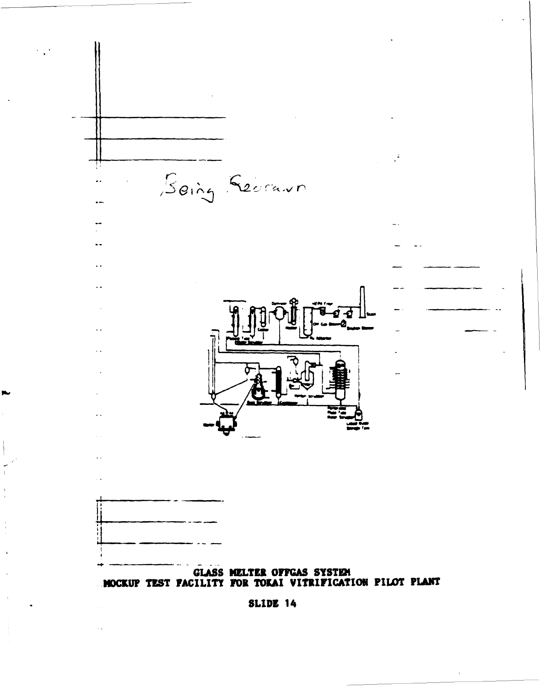

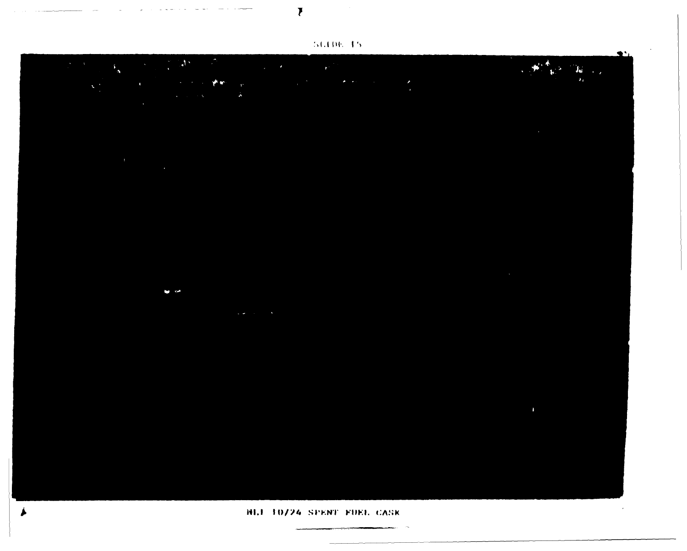50,006,055

 $\overline{\mathbf{v}}$ 

**Contractor**  $\sim$ 

|  | <b>NLI 10/24 SPENT FUEL CASK</b> |  |
|--|----------------------------------|--|

J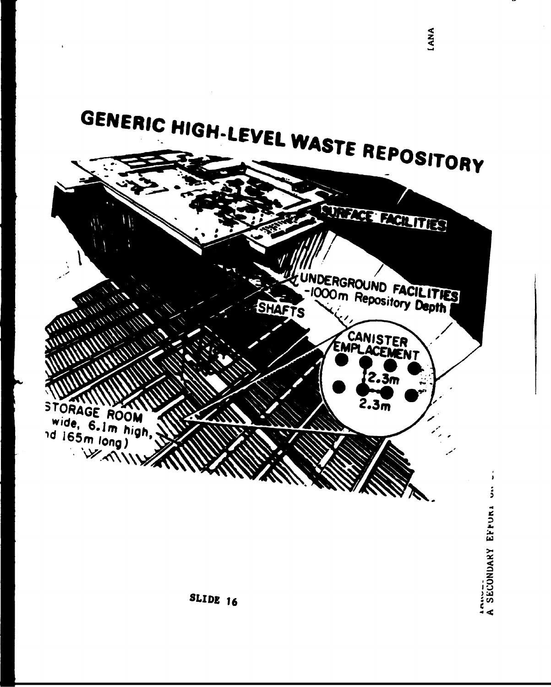



**LANA**